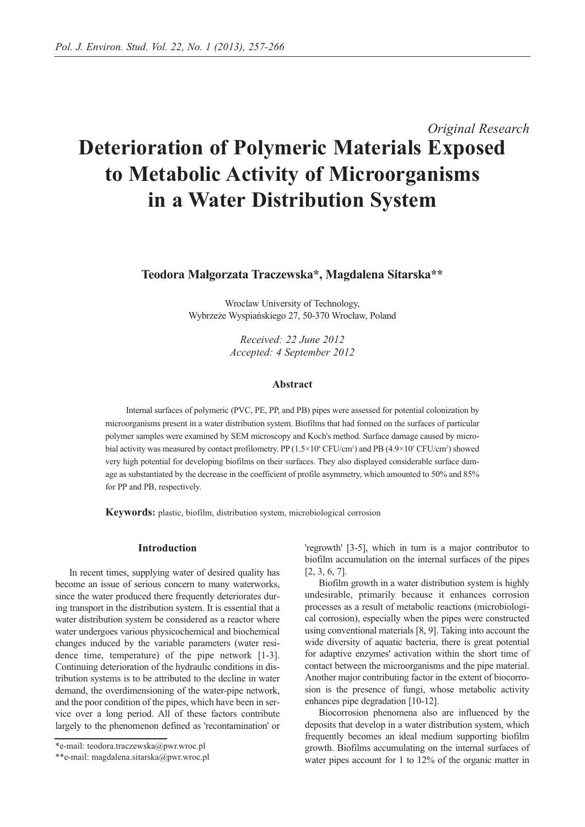# *Original Research* **Deterioration of Polymeric Materials Exposed to Metabolic Activity of Microorganisms in a Water Distribution System**

**Teodora Małgorzata Traczewska\*, Magdalena Sitarska\*\***

Wroclaw University of Technology, Wybrzeże Wyspiańskiego 27, 50-370 Wrocław, Poland

> *Received: 22 June 2012 Accepted: 4 September 2012*

## **Abstract**

Internal surfaces of polymeric (PVC, PE, PP, and PB) pipes were assessed for potential colonization by microorganisms present in a water distribution system. Biofilms that had formed on the surfaces of particular polymer samples were examined by SEM microscopy and Koch's method. Surface damage caused by microbial activity was measured by contact profilometry. PP  $(1.5 \times 10^6 \text{ CFU/cm}^2)$  and PB  $(4.9 \times 10^5 \text{ CFU/cm}^2)$  showed very high potential for developing biofilms on their surfaces. They also displayed considerable surface damage as substantiated by the decrease in the coefficient of profile asymmetry, which amounted to 50% and 85% for PP and PB, respectively.

**Keywords:** plastic, biofilm, distribution system, microbiological corrosion

## **Introduction**

In recent times, supplying water of desired quality has become an issue of serious concern to many waterworks, since the water produced there frequently deteriorates during transport in the distribution system. It is essential that a water distribution system be considered as a reactor where water undergoes various physicochemical and biochemical changes induced by the variable parameters (water residence time, temperature) of the pipe network [1-3]. Continuing deterioration of the hydraulic conditions in distribution systems is to be attributed to the decline in water demand, the overdimensioning of the water-pipe network, and the poor condition of the pipes, which have been in service over a long period. All of these factors contribute largely to the phenomenon defined as 'recontamination' or

'regrowth' [3-5], which in turn is a major contributor to biofilm accumulation on the internal surfaces of the pipes [2, 3, 6, 7].

Biofilm growth in a water distribution system is highly undesirable, primarily because it enhances corrosion processes as a result of metabolic reactions (microbiological corrosion), especially when the pipes were constructed using conventional materials [8, 9]. Taking into account the wide diversity of aquatic bacteria, there is great potential for adaptive enzymes' activation within the short time of contact between the microorganisms and the pipe material. Another major contributing factor in the extent of biocorrosion is the presence of fungi, whose metabolic activity enhances pipe degradation [10-12].

Biocorrosion phenomena also are influenced by the deposits that develop in a water distribution system, which frequently becomes an ideal medium supporting biofilm growth. Biofilms accumulating on the internal surfaces of water pipes account for 1 to 12% of the organic matter in

<sup>\*</sup>e-mail: teodora.traczewska@pwr.wroc.pl

<sup>\*\*</sup>e-mail: magdalena.sitarska@pwr.wroc.pl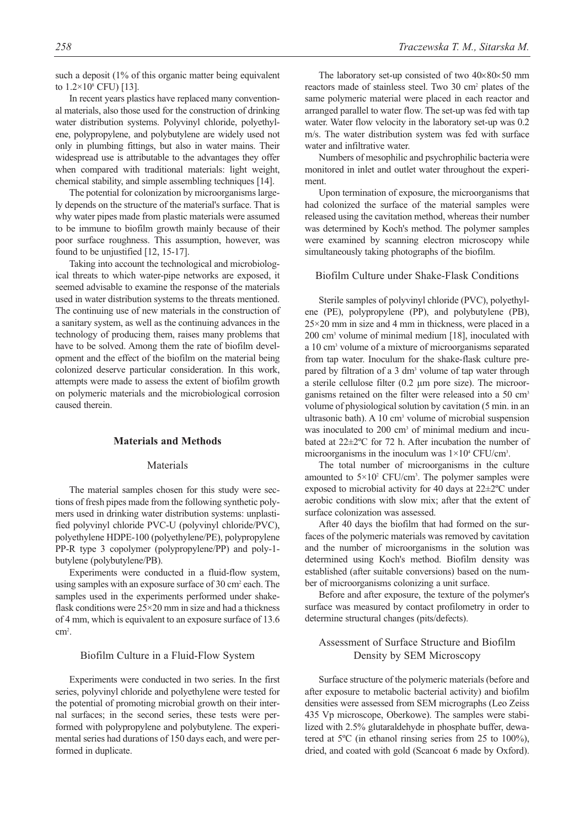such a deposit (1% of this organic matter being equivalent to  $1.2 \times 10^8$  CFU) [13].

In recent years plastics have replaced many conventional materials, also those used for the construction of drinking water distribution systems. Polyvinyl chloride, polyethylene, polypropylene, and polybutylene are widely used not only in plumbing fittings, but also in water mains. Their widespread use is attributable to the advantages they offer when compared with traditional materials: light weight, chemical stability, and simple assembling techniques [14].

The potential for colonization by microorganisms largely depends on the structure of the material's surface. That is why water pipes made from plastic materials were assumed to be immune to biofilm growth mainly because of their poor surface roughness. This assumption, however, was found to be unjustified [12, 15-17].

Taking into account the technological and microbiological threats to which water-pipe networks are exposed, it seemed advisable to examine the response of the materials used in water distribution systems to the threats mentioned. The continuing use of new materials in the construction of a sanitary system, as well as the continuing advances in the technology of producing them, raises many problems that have to be solved. Among them the rate of biofilm development and the effect of the biofilm on the material being colonized deserve particular consideration. In this work, attempts were made to assess the extent of biofilm growth on polymeric materials and the microbiological corrosion caused therein.

## **Materials and Methods**

#### Materials

The material samples chosen for this study were sections of fresh pipes made from the following synthetic polymers used in drinking water distribution systems: unplastified polyvinyl chloride PVC-U (polyvinyl chloride/PVC), polyethylene HDPE-100 (polyethylene/PE), polypropylene PP-R type 3 copolymer (polypropylene/PP) and poly-1 butylene (polybutylene/PB).

Experiments were conducted in a fluid-flow system, using samples with an exposure surface of 30 cm<sup>2</sup> each. The samples used in the experiments performed under shakeflask conditions were 25×20 mm in size and had a thickness of 4 mm, which is equivalent to an exposure surface of 13.6  $\text{cm}^2$ .

#### Biofilm Culture in a Fluid-Flow System

Experiments were conducted in two series. In the first series, polyvinyl chloride and polyethylene were tested for the potential of promoting microbial growth on their internal surfaces; in the second series, these tests were performed with polypropylene and polybutylene. The experimental series had durations of 150 days each, and were performed in duplicate.

The laboratory set-up consisted of two  $40\times80\times50$  mm reactors made of stainless steel. Two 30 cm2 plates of the same polymeric material were placed in each reactor and arranged parallel to water flow. The set-up was fed with tap water. Water flow velocity in the laboratory set-up was 0.2 m/s. The water distribution system was fed with surface water and infiltrative water.

Numbers of mesophilic and psychrophilic bacteria were monitored in inlet and outlet water throughout the experiment.

Upon termination of exposure, the microorganisms that had colonized the surface of the material samples were released using the cavitation method, whereas their number was determined by Koch's method. The polymer samples were examined by scanning electron microscopy while simultaneously taking photographs of the biofilm.

Biofilm Culture under Shake-Flask Conditions

Sterile samples of polyvinyl chloride (PVC), polyethylene (PE), polypropylene (PP), and polybutylene (PB), 25×20 mm in size and 4 mm in thickness, were placed in a 200 cm3 volume of minimal medium [18], inoculated with a 10 cm3 volume of a mixture of microorganisms separated from tap water. Inoculum for the shake-flask culture prepared by filtration of a 3 dm<sup>3</sup> volume of tap water through a sterile cellulose filter (0.2 µm pore size). The microorganisms retained on the filter were released into a 50 cm<sup>3</sup> volume of physiological solution by cavitation (5 min. in an ultrasonic bath). A 10 cm<sup>3</sup> volume of microbial suspension was inoculated to 200 cm<sup>3</sup> of minimal medium and incubated at 22±2ºC for 72 h. After incubation the number of microorganisms in the inoculum was  $1\times10^4$  CFU/cm<sup>3</sup>.

The total number of microorganisms in the culture amounted to  $5 \times 10^2$  CFU/cm<sup>3</sup>. The polymer samples were exposed to microbial activity for 40 days at 22±2ºC under aerobic conditions with slow mix; after that the extent of surface colonization was assessed.

After 40 days the biofilm that had formed on the surfaces of the polymeric materials was removed by cavitation and the number of microorganisms in the solution was determined using Koch's method. Biofilm density was established (after suitable conversions) based on the number of microorganisms colonizing a unit surface.

Before and after exposure, the texture of the polymer's surface was measured by contact profilometry in order to determine structural changes (pits/defects).

# Assessment of Surface Structure and Biofilm Density by SEM Microscopy

Surface structure of the polymeric materials (before and after exposure to metabolic bacterial activity) and biofilm densities were assessed from SEM micrographs (Leo Zeiss 435 Vp microscope, Oberkowe). The samples were stabilized with 2.5% glutaraldehyde in phosphate buffer, dewatered at 5ºC (in ethanol rinsing series from 25 to 100%), dried, and coated with gold (Scancoat 6 made by Oxford).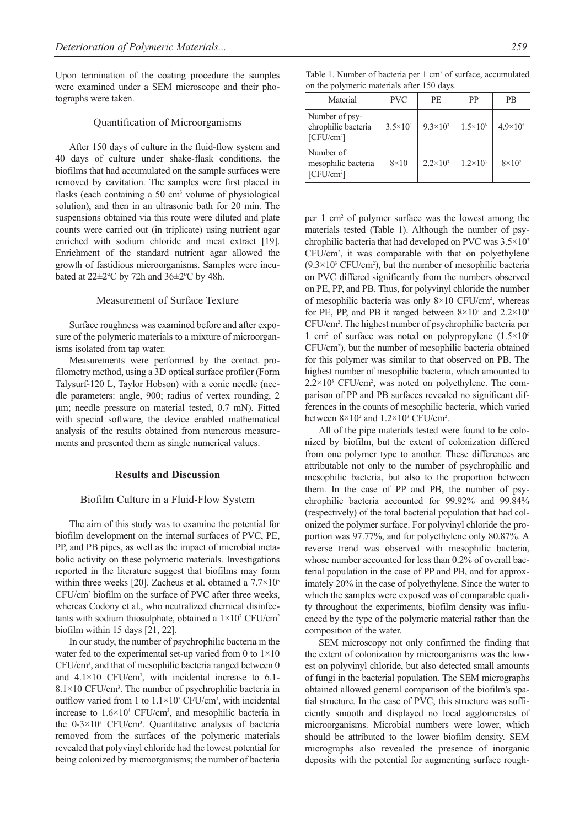Upon termination of the coating procedure the samples were examined under a SEM microscope and their photographs were taken.

#### Quantification of Microorganisms

After 150 days of culture in the fluid-flow system and 40 days of culture under shake-flask conditions, the biofilms that had accumulated on the sample surfaces were removed by cavitation. The samples were first placed in flasks (each containing a 50 cm<sup>3</sup> volume of physiological solution), and then in an ultrasonic bath for 20 min. The suspensions obtained via this route were diluted and plate counts were carried out (in triplicate) using nutrient agar enriched with sodium chloride and meat extract [19]. Enrichment of the standard nutrient agar allowed the growth of fastidious microorganisms. Samples were incubated at 22±2ºC by 72h and 36±2ºC by 48h.

## Measurement of Surface Texture

Surface roughness was examined before and after exposure of the polymeric materials to a mixture of microorganisms isolated from tap water.

Measurements were performed by the contact profilometry method, using a 3D optical surface profiler (Form Talysurf-120 L, Taylor Hobson) with a conic needle (needle parameters: angle, 900; radius of vertex rounding, 2 µm; needle pressure on material tested, 0.7 mN). Fitted with special software, the device enabled mathematical analysis of the results obtained from numerous measurements and presented them as single numerical values.

#### **Results and Discussion**

#### Biofilm Culture in a Fluid-Flow System

The aim of this study was to examine the potential for biofilm development on the internal surfaces of PVC, PE, PP, and PB pipes, as well as the impact of microbial metabolic activity on these polymeric materials. Investigations reported in the literature suggest that biofilms may form within three weeks [20]. Zacheus et al. obtained a  $7.7 \times 10^5$ CFU/cm2 biofilm on the surface of PVC after three weeks, whereas Codony et al., who neutralized chemical disinfectants with sodium thiosulphate, obtained a  $1\times10^{7}$  CFU/cm<sup>2</sup> biofilm within 15 days [21, 22].

In our study, the number of psychrophilic bacteria in the water fed to the experimental set-up varied from 0 to 1×10 CFU/cm3 , and that of mesophilic bacteria ranged between 0 and  $4.1 \times 10$  CFU/cm<sup>3</sup>, with incidental increase to 6.1-8.1×10 CFU/cm<sup>3</sup>. The number of psychrophilic bacteria in outflow varied from 1 to  $1.1 \times 10^3$  CFU/cm<sup>3</sup>, with incidental increase to 1.6×104 CFU/cm3 , and mesophilic bacteria in the 0-3×103 CFU/cm3 . Quantitative analysis of bacteria removed from the surfaces of the polymeric materials revealed that polyvinyl chloride had the lowest potential for being colonized by microorganisms; the number of bacteria

Table 1. Number of bacteria per 1 cm<sup>2</sup> of surface, accumulated on the polymeric materials after 150 days.

| Material                                                        | <b>PVC</b>        | <b>PE</b>         | PP                  | PB                |
|-----------------------------------------------------------------|-------------------|-------------------|---------------------|-------------------|
| Number of psy-<br>chrophilic bacteria<br>[CFU/cm <sup>2</sup> ] | $3.5 \times 10^3$ | $9.3 \times 10^3$ | $1.5 \times 10^{6}$ | $4.9\times10^{5}$ |
| Number of<br>mesophilic bacteria<br>[CFU/cm <sup>2</sup> ]      | $8\times10$       | $2.2 \times 10^3$ | $1.2 \times 10^3$   | $8\times10^2$     |

per 1 cm2 of polymer surface was the lowest among the materials tested (Table 1). Although the number of psychrophilic bacteria that had developed on PVC was 3.5×103 CFU/cm2 , it was comparable with that on polyethylene  $(9.3 \times 10^{3} \text{ CFU/cm}^2)$ , but the number of mesophilic bacteria on PVC differed significantly from the numbers observed on PE, PP, and PB. Thus, for polyvinyl chloride the number of mesophilic bacteria was only 8×10 CFU/cm<sup>2</sup>, whereas for PE, PP, and PB it ranged between  $8\times10^2$  and  $2.2\times10^3$ CFU/cm2 . The highest number of psychrophilic bacteria per 1 cm<sup>2</sup> of surface was noted on polypropylene  $(1.5 \times 10^{6}$ CFU/cm2 ), but the number of mesophilic bacteria obtained for this polymer was similar to that observed on PB. The highest number of mesophilic bacteria, which amounted to  $2.2 \times 10^3$  CFU/cm<sup>2</sup>, was noted on polyethylene. The comparison of PP and PB surfaces revealed no significant differences in the counts of mesophilic bacteria, which varied between  $8 \times 10^2$  and  $1.2 \times 10^3$  CFU/cm<sup>2</sup>.

All of the pipe materials tested were found to be colonized by biofilm, but the extent of colonization differed from one polymer type to another. These differences are attributable not only to the number of psychrophilic and mesophilic bacteria, but also to the proportion between them. In the case of PP and PB, the number of psychrophilic bacteria accounted for 99.92% and 99.84% (respectively) of the total bacterial population that had colonized the polymer surface. For polyvinyl chloride the proportion was 97.77%, and for polyethylene only 80.87%. A reverse trend was observed with mesophilic bacteria, whose number accounted for less than 0.2% of overall bacterial population in the case of PP and PB, and for approximately 20% in the case of polyethylene. Since the water to which the samples were exposed was of comparable quality throughout the experiments, biofilm density was influenced by the type of the polymeric material rather than the composition of the water.

SEM microscopy not only confirmed the finding that the extent of colonization by microorganisms was the lowest on polyvinyl chloride, but also detected small amounts of fungi in the bacterial population. The SEM micrographs obtained allowed general comparison of the biofilm's spatial structure. In the case of PVC, this structure was sufficiently smooth and displayed no local agglomerates of microorganisms. Microbial numbers were lower, which should be attributed to the lower biofilm density. SEM micrographs also revealed the presence of inorganic deposits with the potential for augmenting surface rough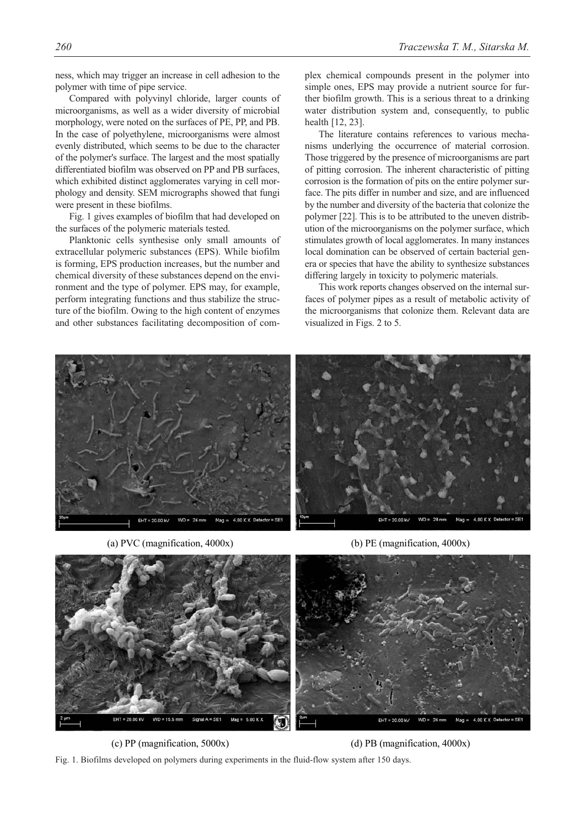ness, which may trigger an increase in cell adhesion to the polymer with time of pipe service.

Compared with polyvinyl chloride, larger counts of microorganisms, as well as a wider diversity of microbial morphology, were noted on the surfaces of PE, PP, and PB. In the case of polyethylene, microorganisms were almost evenly distributed, which seems to be due to the character of the polymer's surface. The largest and the most spatially differentiated biofilm was observed on PP and PB surfaces, which exhibited distinct agglomerates varying in cell morphology and density. SEM micrographs showed that fungi were present in these biofilms.

Fig. 1 gives examples of biofilm that had developed on the surfaces of the polymeric materials tested.

Planktonic cells synthesise only small amounts of extracellular polymeric substances (EPS). While biofilm is forming, EPS production increases, but the number and chemical diversity of these substances depend on the environment and the type of polymer. EPS may, for example, perform integrating functions and thus stabilize the structure of the biofilm. Owing to the high content of enzymes and other substances facilitating decomposition of complex chemical compounds present in the polymer into simple ones, EPS may provide a nutrient source for further biofilm growth. This is a serious threat to a drinking water distribution system and, consequently, to public health [12, 23].

The literature contains references to various mechanisms underlying the occurrence of material corrosion. Those triggered by the presence of microorganisms are part of pitting corrosion. The inherent characteristic of pitting corrosion is the formation of pits on the entire polymer surface. The pits differ in number and size, and are influenced by the number and diversity of the bacteria that colonize the polymer [22]. This is to be attributed to the uneven distribution of the microorganisms on the polymer surface, which stimulates growth of local agglomerates. In many instances local domination can be observed of certain bacterial genera or species that have the ability to synthesize substances differing largely in toxicity to polymeric materials.

This work reports changes observed on the internal surfaces of polymer pipes as a result of metabolic activity of the microorganisms that colonize them. Relevant data are visualized in Figs. 2 to 5.



(a) PVC (magnification, 4000x) (b) PE (magnification, 4000x)



(c) PP (magnification, 5000x) (d) PB (magnification, 4000x)

Fig. 1. Biofilms developed on polymers during experiments in the fluid-flow system after 150 days.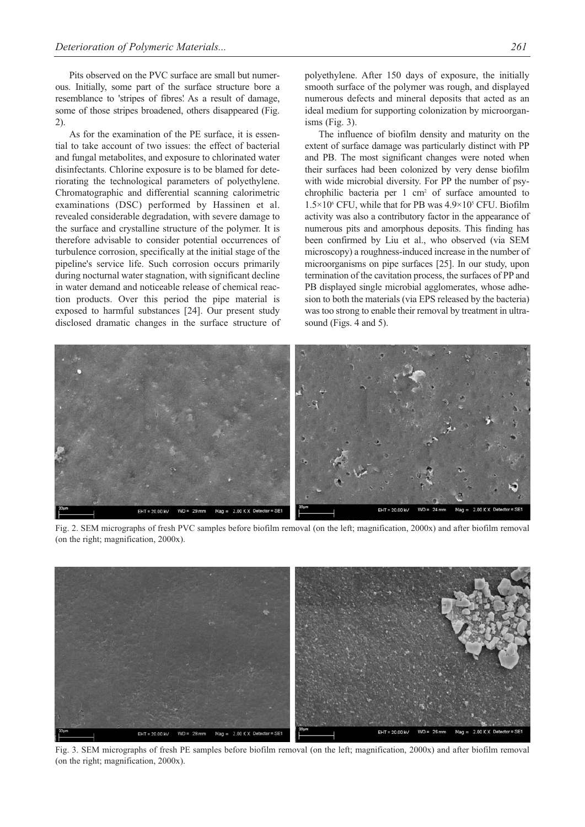Pits observed on the PVC surface are small but numerous. Initially, some part of the surface structure bore a resemblance to 'stripes of fibres.' As a result of damage, some of those stripes broadened, others disappeared (Fig. 2).

As for the examination of the PE surface, it is essential to take account of two issues: the effect of bacterial and fungal metabolites, and exposure to chlorinated water disinfectants. Chlorine exposure is to be blamed for deteriorating the technological parameters of polyethylene. Chromatographic and differential scanning calorimetric examinations (DSC) performed by Hassinen et al. revealed considerable degradation, with severe damage to the surface and crystalline structure of the polymer. It is therefore advisable to consider potential occurrences of turbulence corrosion, specifically at the initial stage of the pipeline's service life. Such corrosion occurs primarily during nocturnal water stagnation, with significant decline in water demand and noticeable release of chemical reaction products. Over this period the pipe material is exposed to harmful substances [24]. Our present study disclosed dramatic changes in the surface structure of polyethylene. After 150 days of exposure, the initially smooth surface of the polymer was rough, and displayed numerous defects and mineral deposits that acted as an ideal medium for supporting colonization by microorganisms (Fig. 3).

The influence of biofilm density and maturity on the extent of surface damage was particularly distinct with PP and PB. The most significant changes were noted when their surfaces had been colonized by very dense biofilm with wide microbial diversity. For PP the number of psychrophilic bacteria per 1 cm2 of surface amounted to  $1.5\times10^{6}$  CFU, while that for PB was  $4.9\times10^{5}$  CFU. Biofilm activity was also a contributory factor in the appearance of numerous pits and amorphous deposits. This finding has been confirmed by Liu et al., who observed (via SEM microscopy) a roughness-induced increase in the number of microorganisms on pipe surfaces [25]. In our study, upon termination of the cavitation process, the surfaces of PP and PB displayed single microbial agglomerates, whose adhesion to both the materials (via EPS released by the bacteria) was too strong to enable their removal by treatment in ultrasound (Figs. 4 and 5).



Fig. 2. SEM micrographs of fresh PVC samples before biofilm removal (on the left; magnification, 2000x) and after biofilm removal (on the right; magnification, 2000x).



Fig. 3. SEM micrographs of fresh PE samples before biofilm removal (on the left; magnification, 2000x) and after biofilm removal (on the right; magnification, 2000x).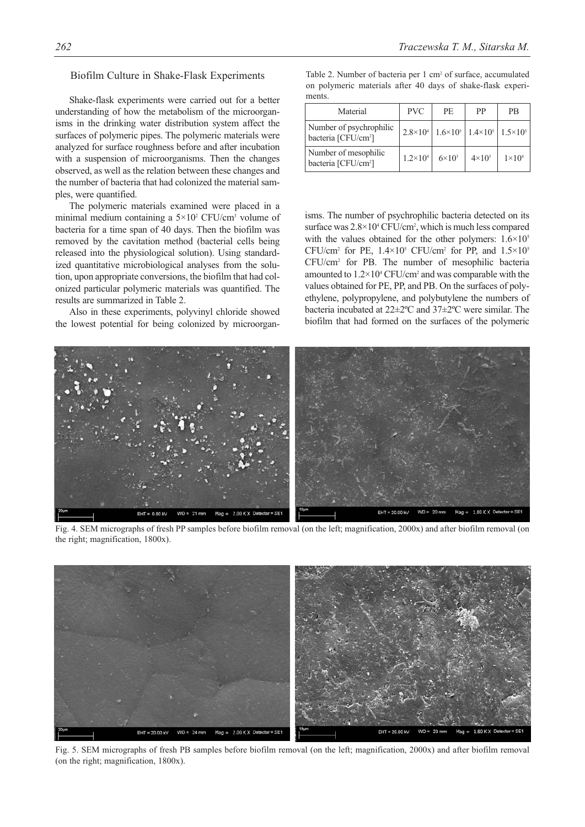#### Biofilm Culture in Shake-Flask Experiments

Shake-flask experiments were carried out for a better understanding of how the metabolism of the microorganisms in the drinking water distribution system affect the surfaces of polymeric pipes. The polymeric materials were analyzed for surface roughness before and after incubation with a suspension of microorganisms. Then the changes observed, as well as the relation between these changes and the number of bacteria that had colonized the material samples, were quantified.

The polymeric materials examined were placed in a minimal medium containing a  $5 \times 10^2$  CFU/cm<sup>3</sup> volume of bacteria for a time span of 40 days. Then the biofilm was removed by the cavitation method (bacterial cells being released into the physiological solution). Using standardized quantitative microbiological analyses from the solution, upon appropriate conversions, the biofilm that had colonized particular polymeric materials was quantified. The results are summarized in Table 2.

Also in these experiments, polyvinyl chloride showed the lowest potential for being colonized by microorgan-

*262 Traczewska T. M., Sitarska M.*

|        |  |  | Table 2. Number of bacteria per 1 cm <sup>2</sup> of surface, accumulated |  |
|--------|--|--|---------------------------------------------------------------------------|--|
|        |  |  | on polymeric materials after 40 days of shake-flask experi-               |  |
| ments. |  |  |                                                                           |  |

| Material                                                   | <b>PVC</b>          | <b>PE</b>     | PP                                                                            | PB            |
|------------------------------------------------------------|---------------------|---------------|-------------------------------------------------------------------------------|---------------|
| Number of psychrophilic<br>bacteria [CFU/cm <sup>2</sup> ] |                     |               | $2.8\times10^{4}$   $1.6\times10^{5}$   $1.4\times10^{5}$   $1.5\times10^{5}$ |               |
| Number of mesophilic<br>bacteria [CFU/cm <sup>2</sup> ]    | $1.2 \times 10^{4}$ | $6\times10^3$ | $4\times10^3$                                                                 | $1\times10^4$ |

isms. The number of psychrophilic bacteria detected on its surface was  $2.8 \times 10^4$  CFU/cm<sup>2</sup>, which is much less compared with the values obtained for the other polymers:  $1.6 \times 10^5$ CFU/cm<sup>2</sup> for PE,  $1.4 \times 10^5$  CFU/cm<sup>2</sup> for PP, and  $1.5 \times 10^5$ CFU/cm2 for PB. The number of mesophilic bacteria amounted to  $1.2 \times 10^4$  CFU/cm<sup>2</sup> and was comparable with the values obtained for PE, PP, and PB. On the surfaces of polyethylene, polypropylene, and polybutylene the numbers of bacteria incubated at 22±2ºC and 37±2ºC were similar. The biofilm that had formed on the surfaces of the polymeric



Fig. 4. SEM micrographs of fresh PP samples before biofilm removal (on the left; magnification, 2000x) and after biofilm removal (on the right; magnification, 1800x).



Fig. 5. SEM micrographs of fresh PB samples before biofilm removal (on the left; magnification, 2000x) and after biofilm removal (on the right; magnification, 1800x).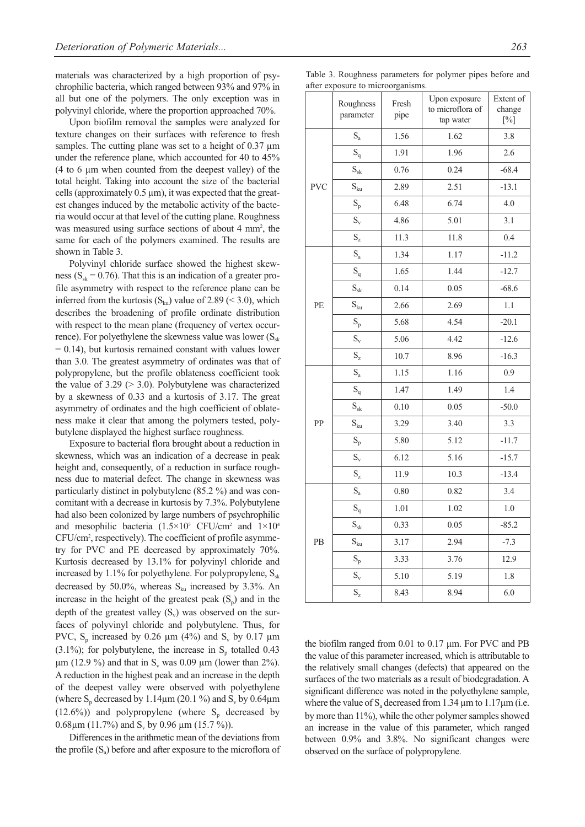materials was characterized by a high proportion of psychrophilic bacteria, which ranged between 93% and 97% in all but one of the polymers. The only exception was in polyvinyl chloride, where the proportion approached 70%.

Upon biofilm removal the samples were analyzed for texture changes on their surfaces with reference to fresh samples. The cutting plane was set to a height of  $0.37 \mu m$ under the reference plane, which accounted for 40 to 45% (4 to 6 µm when counted from the deepest valley) of the total height. Taking into account the size of the bacterial cells (approximately 0.5 µm), it was expected that the greatest changes induced by the metabolic activity of the bacteria would occur at that level of the cutting plane. Roughness was measured using surface sections of about 4 mm<sup>2</sup>, the same for each of the polymers examined. The results are shown in Table 3.

Polyvinyl chloride surface showed the highest skewness ( $S_{sk} = 0.76$ ). That this is an indication of a greater profile asymmetry with respect to the reference plane can be inferred from the kurtosis  $(S_{ku})$  value of 2.89 (< 3.0), which describes the broadening of profile ordinate distribution with respect to the mean plane (frequency of vertex occurrence). For polyethylene the skewness value was lower  $(S_{sk})$  $= 0.14$ ), but kurtosis remained constant with values lower than 3.0. The greatest asymmetry of ordinates was that of polypropylene, but the profile oblateness coefficient took the value of  $3.29$  ( $> 3.0$ ). Polybutylene was characterized by a skewness of 0.33 and a kurtosis of 3.17. The great asymmetry of ordinates and the high coefficient of oblateness make it clear that among the polymers tested, polybutylene displayed the highest surface roughness.

Exposure to bacterial flora brought about a reduction in skewness, which was an indication of a decrease in peak height and, consequently, of a reduction in surface roughness due to material defect. The change in skewness was particularly distinct in polybutylene (85.2 %) and was concomitant with a decrease in kurtosis by 7.3%. Polybutylene had also been colonized by large numbers of psychrophilic and mesophilic bacteria  $(1.5 \times 10^5 \text{ CFU/cm}^2$  and  $1 \times 10^4$ CFU/cm2 , respectively). The coefficient of profile asymmetry for PVC and PE decreased by approximately 70%. Kurtosis decreased by 13.1% for polyvinyl chloride and increased by 1.1% for polyethylene. For polypropylene,  $S_{sk}$ decreased by 50.0%, whereas  $S_{ku}$  increased by 3.3%. An increase in the height of the greatest peak  $(S_n)$  and in the depth of the greatest valley  $(S_v)$  was observed on the surfaces of polyvinyl chloride and polybutylene. Thus, for PVC,  $S_p$  increased by 0.26  $\mu$ m (4%) and  $S_v$  by 0.17  $\mu$ m  $(3.1\%)$ ; for polybutylene, the increase in S<sub>p</sub> totalled 0.43  $\mu$ m (12.9 %) and that in S<sub>v</sub> was 0.09  $\mu$ m (lower than 2%). A reduction in the highest peak and an increase in the depth of the deepest valley were observed with polyethylene (where  $S_p$  decreased by 1.14 $\mu$ m (20.1 %) and  $S_v$  by 0.64 $\mu$ m  $(12.6\%)$  and polypropylene (where S<sub>p</sub> decreased by 0.68 $\mu$ m (11.7%) and S<sub>v</sub> by 0.96  $\mu$ m (15.7 %)).

Differences in the arithmetic mean of the deviations from the profile  $(S<sub>a</sub>)$  before and after exposure to the microflora of

| Table 3. Roughness parameters for polymer pipes before and |  |  |  |
|------------------------------------------------------------|--|--|--|
| after exposure to microorganisms.                          |  |  |  |

|            | reporter to mitroorganism |               |                                                |                               |
|------------|---------------------------|---------------|------------------------------------------------|-------------------------------|
|            | Roughness<br>parameter    | Fresh<br>pipe | Upon exposure<br>to microflora of<br>tap water | Extent of<br>change<br>$[\%]$ |
|            | $S_{a}$                   | 1.56          | 1.62                                           | 3.8                           |
|            | $S_q$                     | 1.91          | 1.96                                           | 2.6                           |
|            | $\mathbf{S}_{\text{sk}}$  | 0.76          | 0.24                                           | $-68.4$                       |
| <b>PVC</b> | $S_{ku}$                  | 2.89          | 2.51                                           | $-13.1$                       |
|            | $S_p$                     | 6.48          | 6.74                                           | 4.0                           |
|            | $S_{v}$                   | 4.86          | 5.01                                           | 3.1                           |
|            | $S_{z}$                   | 11.3          | 11.8                                           | 0.4                           |
|            | $S_{a}$                   | 1.34          | 1.17                                           | $-11.2$                       |
|            | $\mathbf{S}_{\mathbf{q}}$ | 1.65          | 1.44                                           | $-12.7$                       |
|            | $\mathbf{S}_{\text{sk}}$  | 0.14          | 0.05                                           | $-68.6$                       |
| PE         | $S_{ku}$                  | 2.66          | 2.69                                           | 1.1                           |
|            | $S_p$                     | 5.68          | 4.54                                           | $-20.1$                       |
|            | $S_{v}$                   | 5.06          | 4.42                                           | $-12.6$                       |
|            | $\mathbf{S}_{\mathbf{z}}$ | 10.7          | 8.96                                           | $-16.3$                       |
|            | $\mathrm{S}_{\mathrm{a}}$ | 1.15          | 1.16                                           | 0.9                           |
|            | $S_q$                     | 1.47          | 1.49                                           | 1.4                           |
|            | $S_{sk}$                  | 0.10          | 0.05                                           | $-50.0$                       |
| PP         | $S_{ku}$                  | 3.29          | 3.40                                           | 3.3                           |
|            | $S_p$                     | 5.80          | 5.12                                           | $-11.7$                       |
|            | $S_{v}$                   | 6.12          | 5.16                                           | $-15.7$                       |
|            | $S_{z}$                   | 11.9          | 10.3                                           | $-13.4$                       |
|            | $\mathrm{S}_{\mathrm{a}}$ | 0.80          | 0.82                                           | 3.4                           |
| PB         | $S_q$                     | 1.01          | 1.02                                           | 1.0                           |
|            | $S_{sk}$                  | 0.33          | 0.05                                           | $-85.2$                       |
|            | $S_{ku}$                  | 3.17          | 2.94                                           | $-7.3$                        |
|            | $S_p$                     | 3.33          | 3.76                                           | 12.9                          |
|            | $S_{v}$                   | 5.10          | 5.19                                           | 1.8                           |
|            | $\mathbf{S}_{\mathbf{z}}$ | 8.43          | 8.94                                           | 6.0                           |

the biofilm ranged from 0.01 to 0.17 µm. For PVC and PB the value of this parameter increased, which is attributable to the relatively small changes (defects) that appeared on the surfaces of the two materials as a result of biodegradation. A significant difference was noted in the polyethylene sample, where the value of  $S_a$  decreased from 1.34  $\mu$ m to 1.17 $\mu$ m (i.e. by more than 11%), while the other polymer samples showed an increase in the value of this parameter, which ranged between 0.9% and 3.8%. No significant changes were observed on the surface of polypropylene.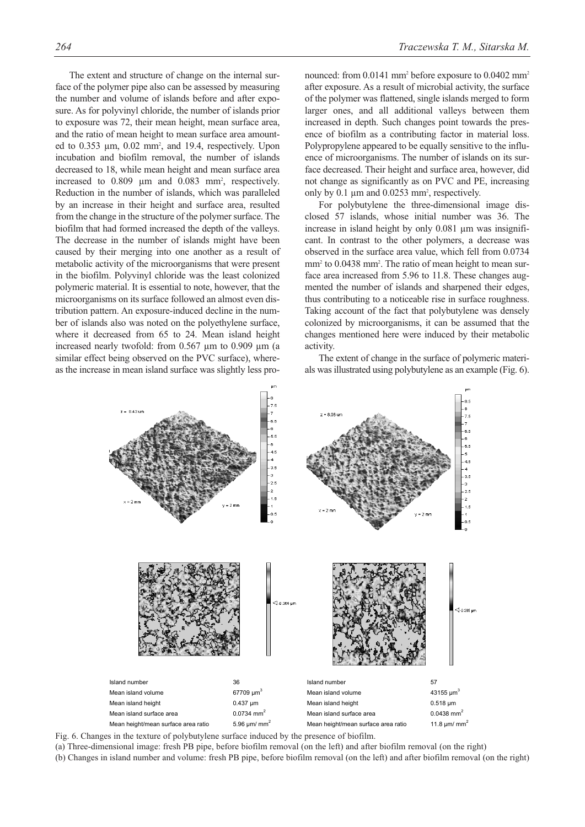The extent and structure of change on the internal surface of the polymer pipe also can be assessed by measuring the number and volume of islands before and after exposure. As for polyvinyl chloride, the number of islands prior to exposure was 72, their mean height, mean surface area, and the ratio of mean height to mean surface area amounted to  $0.353 \mu m$ ,  $0.02 \mu m^2$ , and  $19.4$ , respectively. Upon incubation and biofilm removal, the number of islands decreased to 18, while mean height and mean surface area increased to  $0.809$   $\mu$ m and  $0.083$  mm<sup>2</sup>, respectively. Reduction in the number of islands, which was paralleled by an increase in their height and surface area, resulted from the change in the structure of the polymer surface. The biofilm that had formed increased the depth of the valleys. The decrease in the number of islands might have been caused by their merging into one another as a result of metabolic activity of the microorganisms that were present in the biofilm. Polyvinyl chloride was the least colonized polymeric material. It is essential to note, however, that the microorganisms on its surface followed an almost even distribution pattern. An exposure-induced decline in the number of islands also was noted on the polyethylene surface, where it decreased from 65 to 24. Mean island height increased nearly twofold: from 0.567 µm to 0.909 µm (a similar effect being observed on the PVC surface), whereas the increase in mean island surface was slightly less pronounced: from 0.0141 mm<sup>2</sup> before exposure to 0.0402 mm<sup>2</sup> after exposure. As a result of microbial activity, the surface of the polymer was flattened, single islands merged to form larger ones, and all additional valleys between them increased in depth. Such changes point towards the presence of biofilm as a contributing factor in material loss. Polypropylene appeared to be equally sensitive to the influence of microorganisms. The number of islands on its surface decreased. Their height and surface area, however, did not change as significantly as on PVC and PE, increasing only by 0.1 µm and 0.0253 mm2 , respectively.

For polybutylene the three-dimensional image disclosed 57 islands, whose initial number was 36. The increase in island height by only 0.081  $\mu$ m was insignificant. In contrast to the other polymers, a decrease was observed in the surface area value, which fell from 0.0734 mm<sup>2</sup> to 0.0438 mm<sup>2</sup>. The ratio of mean height to mean surface area increased from 5.96 to 11.8. These changes augmented the number of islands and sharpened their edges, thus contributing to a noticeable rise in surface roughness. Taking account of the fact that polybutylene was densely colonized by microorganisms, it can be assumed that the changes mentioned here were induced by their metabolic activity.

The extent of change in the surface of polymeric materials was illustrated using polybutylene as an example (Fig. 6).



Fig. 6. Changes in the texture of polybutylene surface induced by the presence of biofilm.

(a) Three-dimensional image: fresh PB pipe, before biofilm removal (on the left) and after biofilm removal (on the right) (b) Changes in island number and volume: fresh PB pipe, before biofilm removal (on the left) and after biofilm removal (on the right)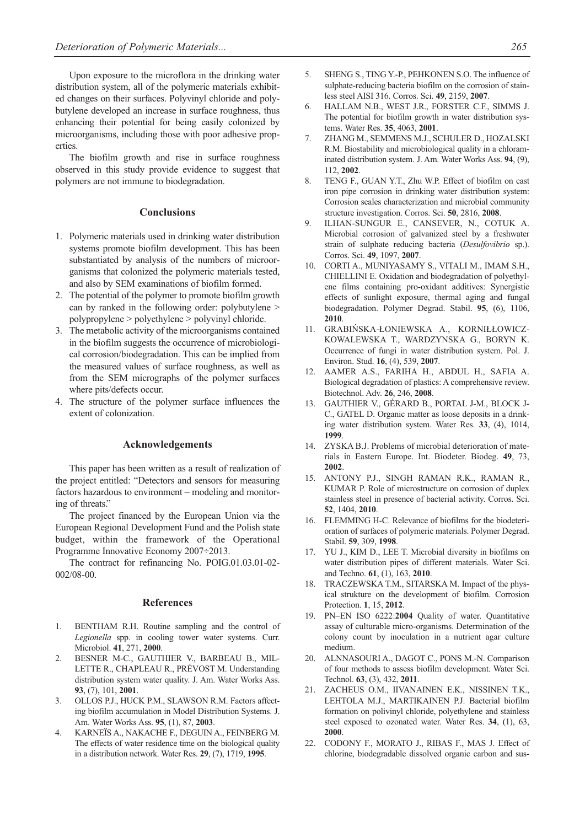Upon exposure to the microflora in the drinking water distribution system, all of the polymeric materials exhibited changes on their surfaces. Polyvinyl chloride and polybutylene developed an increase in surface roughness, thus enhancing their potential for being easily colonized by microorganisms, including those with poor adhesive properties.

The biofilm growth and rise in surface roughness observed in this study provide evidence to suggest that polymers are not immune to biodegradation.

# **Conclusions**

- 1. Polymeric materials used in drinking water distribution systems promote biofilm development. This has been substantiated by analysis of the numbers of microorganisms that colonized the polymeric materials tested, and also by SEM examinations of biofilm formed.
- 2. The potential of the polymer to promote biofilm growth can by ranked in the following order: polybutylene > polypropylene > polyethylene > polyvinyl chloride.
- 3. The metabolic activity of the microorganisms contained in the biofilm suggests the occurrence of microbiological corrosion/biodegradation. This can be implied from the measured values of surface roughness, as well as from the SEM micrographs of the polymer surfaces where pits/defects occur.
- 4. The structure of the polymer surface influences the extent of colonization.

### **Acknowledgements**

This paper has been written as a result of realization of the project entitled: "Detectors and sensors for measuring factors hazardous to environment – modeling and monitoring of threats."

The project financed by the European Union via the European Regional Development Fund and the Polish state budget, within the framework of the Operational Programme Innovative Economy 2007÷2013.

The contract for refinancing No. POIG.01.03.01-02- 002/08-00.

#### **References**

- 1. BENTHAM R.H. Routine sampling and the control of *Legionella* spp. in cooling tower water systems. Curr. Microbiol. **41**, 271, **2000**.
- 2. BESNER M-C., GAUTHIER V., BARBEAU B., MIL-LETTE R., CHAPLEAU R., PRÉVOST M. Understanding distribution system water quality. J. Am. Water Works Ass. **93**, (7), 101, **2001**.
- 3. OLLOS P.J., HUCK P.M., SLAWSON R.M. Factors affecting biofilm accumulation in Model Distribution Systems. J. Am. Water Works Ass. **95**, (1), 87, **2003**.
- 4. KARNEÏS A., NAKACHE F., DEGUIN A., FEINBERG M. The effects of water residence time on the biological quality in a distribution network. Water Res. **29**, (7), 1719, **1995**.
- 5. SHENG S., TING Y.-P., PEHKONEN S.O. The influence of sulphate-reducing bacteria biofilm on the corrosion of stainless steel AISI 316. Corros. Sci. **49**, 2159, **2007**.
- 6. HALLAM N.B., WEST J.R., FORSTER C.F., SIMMS J. The potential for biofilm growth in water distribution systems. Water Res. **35**, 4063, **2001**.
- 7. ZHANG M., SEMMENS M.J., SCHULER D., HOZALSKI R.M. Biostability and microbiological quality in a chloraminated distribution system. J. Am. Water Works Ass. **94**, (9), 112, **2002**.
- 8. TENG F., GUAN Y.T., Zhu W.P. Effect of biofilm on cast iron pipe corrosion in drinking water distribution system: Corrosion scales characterization and microbial community structure investigation. Corros. Sci. **50**, 2816, **2008**.
- 9. ILHAN-SUNGUR E., CANSEVER, N., COTUK A. Microbial corrosion of galvanized steel by a freshwater strain of sulphate reducing bacteria (*Desulfovibrio* sp.). Corros. Sci. **49**, 1097, **2007**.
- 10. CORTI A., MUNIYASAMY S., VITALI M., IMAM S.H., CHIELLINI E. Oxidation and biodegradation of polyethylene films containing pro-oxidant additives: Synergistic effects of sunlight exposure, thermal aging and fungal biodegradation. Polymer Degrad. Stabil. **95**, (6), 1106, **2010**.
- 11. GRABIŃSKA-ŁONIEWSKA A., KORNIŁŁOWICZ-KOWALEWSKA T., WARDZYNSKA G., BORYN K. Occurrence of fungi in water distribution system. Pol. J. Environ. Stud. **16**, (4), 539, **2007**.
- 12. AAMER A.S., FARIHA H., ABDUL H., SAFIA A. Biological degradation of plastics: A comprehensive review. Biotechnol. Adv. **26**, 246, **2008**.
- 13. GAUTHIER V., GÉRARD B., PORTAL J-M., BLOCK J-C., GATEL D. Organic matter as loose deposits in a drinking water distribution system. Water Res. **33**, (4), 1014, **1999**.
- 14. ZYSKA B.J. Problems of microbial deterioration of materials in Eastern Europe. Int. Biodeter. Biodeg. **49**, 73, **2002**.
- 15. ANTONY P.J., SINGH RAMAN R.K., RAMAN R., KUMAR P. Role of microstructure on corrosion of duplex stainless steel in presence of bacterial activity. Corros. Sci. **52**, 1404, **2010**.
- 16. FLEMMING H-C. Relevance of biofilms for the biodeterioration of surfaces of polymeric materials. Polymer Degrad. Stabil. **59**, 309, **1998**.
- 17. YU J., KIM D., LEE T. Microbial diversity in biofilms on water distribution pipes of different materials. Water Sci. and Techno. **61**, (1), 163, **2010**.
- 18. TRACZEWSKA T.M., SITARSKA M. Impact of the physical strukture on the development of biofilm. Corrosion Protection. **1**, 15, **2012**.
- 19. PN–EN ISO 6222:**2004** Quality of water. Quantitative assay of culturable micro-organisms. Determination of the colony count by inoculation in a nutrient agar culture medium.
- 20. ALNNASOURI A., DAGOT C., PONS M.-N. Comparison of four methods to assess biofilm development. Water Sci. Technol. **63**, (3), 432, **2011**.
- 21. ZACHEUS O.M., IIVANAINEN E.K., NISSINEN T.K., LEHTOLA M.J., MARTIKAINEN P.J. Bacterial biofilm formation on polivinyl chloride, polyethylene and stainless steel exposed to ozonated water. Water Res. **34**, (1), 63, **2000**.
- 22. CODONY F., MORATO J., RIBAS F., MAS J. Effect of chlorine, biodegradable dissolved organic carbon and sus-